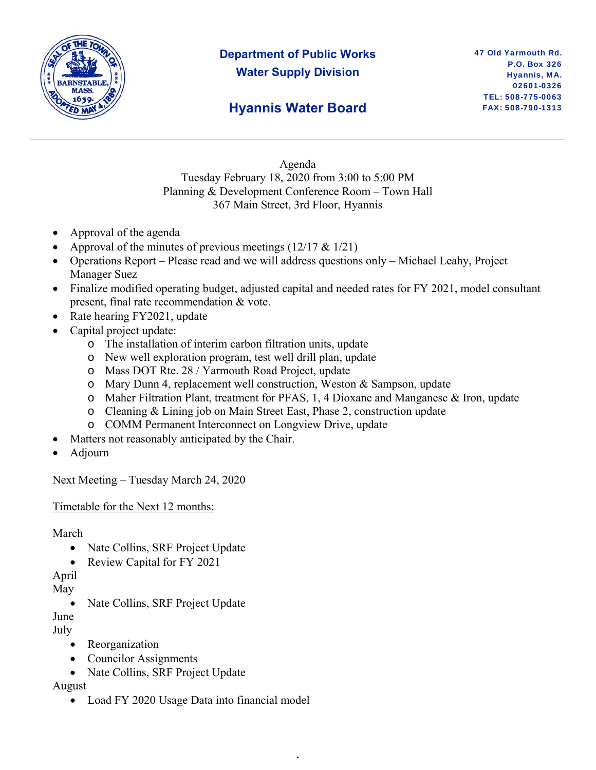

# **Department of Public Works Water Supply Division**

### **Hyannis Water Board**

Agenda Tuesday February 18, 2020 from 3:00 to 5:00 PM Planning & Development Conference Room – Town Hall 367 Main Street, 3rd Floor, Hyannis

- Approval of the agenda
- Approval of the minutes of previous meetings  $(12/17 \& 1/21)$
- Operations Report Please read and we will address questions only Michael Leahy, Project Manager Suez
- Finalize modified operating budget, adjusted capital and needed rates for FY 2021, model consultant present, final rate recommendation & vote.
- Rate hearing FY2021, update
- Capital project update:
	- o The installation of interim carbon filtration units, update
	- o New well exploration program, test well drill plan, update
	- o Mass DOT Rte. 28 / Yarmouth Road Project, update
	- o Mary Dunn 4, replacement well construction, Weston & Sampson, update
	- o Maher Filtration Plant, treatment for PFAS, 1, 4 Dioxane and Manganese & Iron, update

,

- o Cleaning & Lining job on Main Street East, Phase 2, construction update
- o COMM Permanent Interconnect on Longview Drive, update
- Matters not reasonably anticipated by the Chair.
- Adjourn

Next Meeting – Tuesday March 24, 2020

Timetable for the Next 12 months:

March

- Nate Collins, SRF Project Update
- Review Capital for FY 2021

April

May

Nate Collins, SRF Project Update

June

July

- Reorganization
- Councilor Assignments
- Nate Collins, SRF Project Update

August

• Load FY 2020 Usage Data into financial model